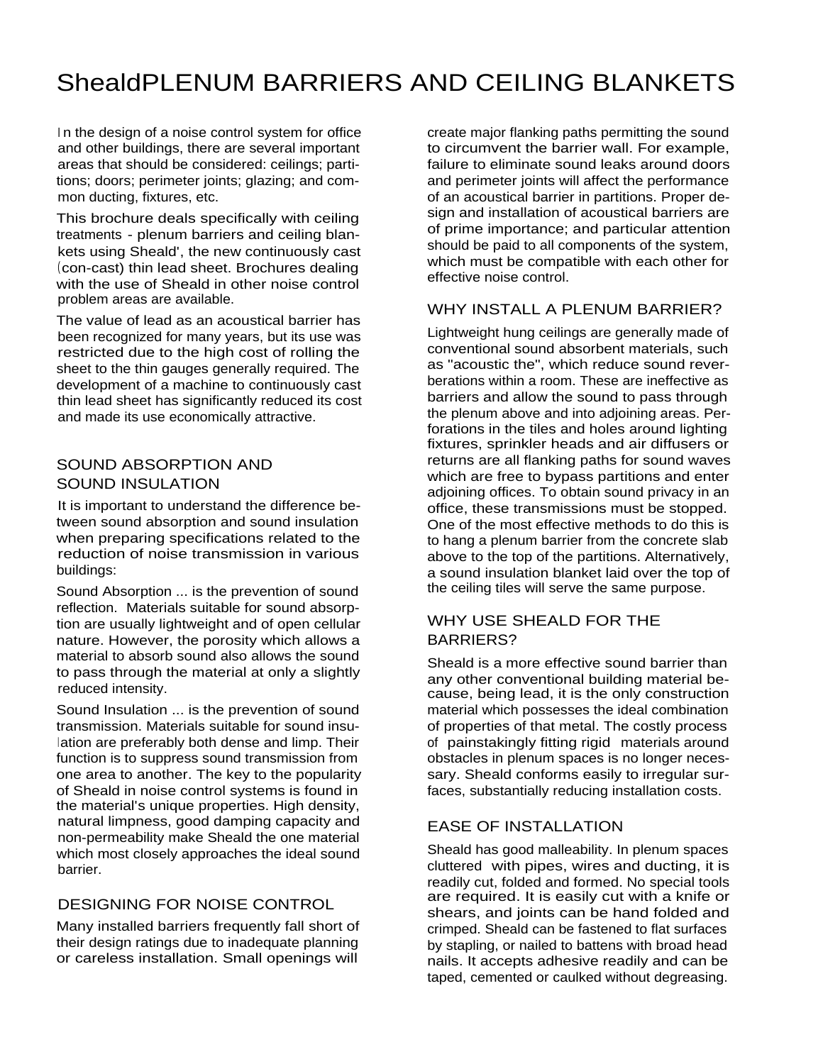# ShealdPLENUM BARRIERS AND CEILING BLANKETS

In the design of a noise control system for office and other buildings, there are several important areas that should be considered: ceilings; partitions; doors; perimeter joints; glazing; and common ducting, fixtures, etc.

This brochure deals specifically with ceiling treatments - plenum barriers and ceiling blankets using Sheald', the new continuously cast (con-cast) thin lead sheet. Brochures dealing with the use of Sheald in other noise control problem areas are available.

The value of lead as an acoustical barrier has been recognized for many years, but its use was restricted due to the high cost of rolling the sheet to the thin gauges generally required. The development of a machine to continuously cast thin lead sheet has significantly reduced its cost and made its use economically attractive.

#### SOUND ABSORPTION AND SOUND INSULATION

It is important to understand the difference between sound absorption and sound insulation when preparing specifications related to the reduction of noise transmission in various buildings:

Sound Absorption ... is the prevention of sound reflection. Materials suitable for sound absorption are usually lightweight and of open cellular nature. However, the porosity which allows a material to absorb sound also allows the sound to pass through the material at only a slightly reduced intensity.

Sound Insulation ... is the prevention of sound transmission. Materials suitable for sound insulation are preferably both dense and limp. Their function is to suppress sound transmission from one area to another. The key to the popularity of Sheald in noise control systems is found in the material's unique properties. High density, natural limpness, good damping capacity and non-permeability make Sheald the one material which most closely approaches the ideal sound barrier.

# DESIGNING FOR NOISE CONTROL

Many installed barriers frequently fall short of their design ratings due to inadequate planning or careless installation. Small openings will

create major flanking paths permitting the sound to circumvent the barrier wall. For example, failure to eliminate sound leaks around doors and perimeter joints will affect the performance of an acoustical barrier in partitions. Proper design and installation of acoustical barriers are of prime importance; and particular attention should be paid to all components of the system, which must be compatible with each other for effective noise control.

# WHY INSTALL A PLENUM BARRIER?

Lightweight hung ceilings are generally made of conventional sound absorbent materials, such as "acoustic the", which reduce sound reverberations within a room. These are ineffective as barriers and allow the sound to pass through the plenum above and into adjoining areas. Perforations in the tiles and holes around lighting fixtures, sprinkler heads and air diffusers or returns are all flanking paths for sound waves which are free to bypass partitions and enter adjoining offices. To obtain sound privacy in an office, these transmissions must be stopped. One of the most effective methods to do this is to hang a plenum barrier from the concrete slab above to the top of the partitions. Alternatively, a sound insulation blanket laid over the top of the ceiling tiles will serve the same purpose.

## WHY USE SHEALD FOR THE BARRIERS?

Sheald is a more effective sound barrier than any other conventional building material because, being lead, it is the only construction material which possesses the ideal combination of properties of that metal. The costly process of painstakingly fitting rigid materials around obstacles in plenum spaces is no longer necessary. Sheald conforms easily to irregular surfaces, substantially reducing installation costs.

### EASE OF INSTALLATION

Sheald has good malleability. In plenum spaces cluttered with pipes, wires and ducting, it is readily cut, folded and formed. No special tools are required. It is easily cut with a knife or shears, and joints can be hand folded and crimped. Sheald can be fastened to flat surfaces by stapling, or nailed to battens with broad head nails. It accepts adhesive readily and can be taped, cemented or caulked without degreasing.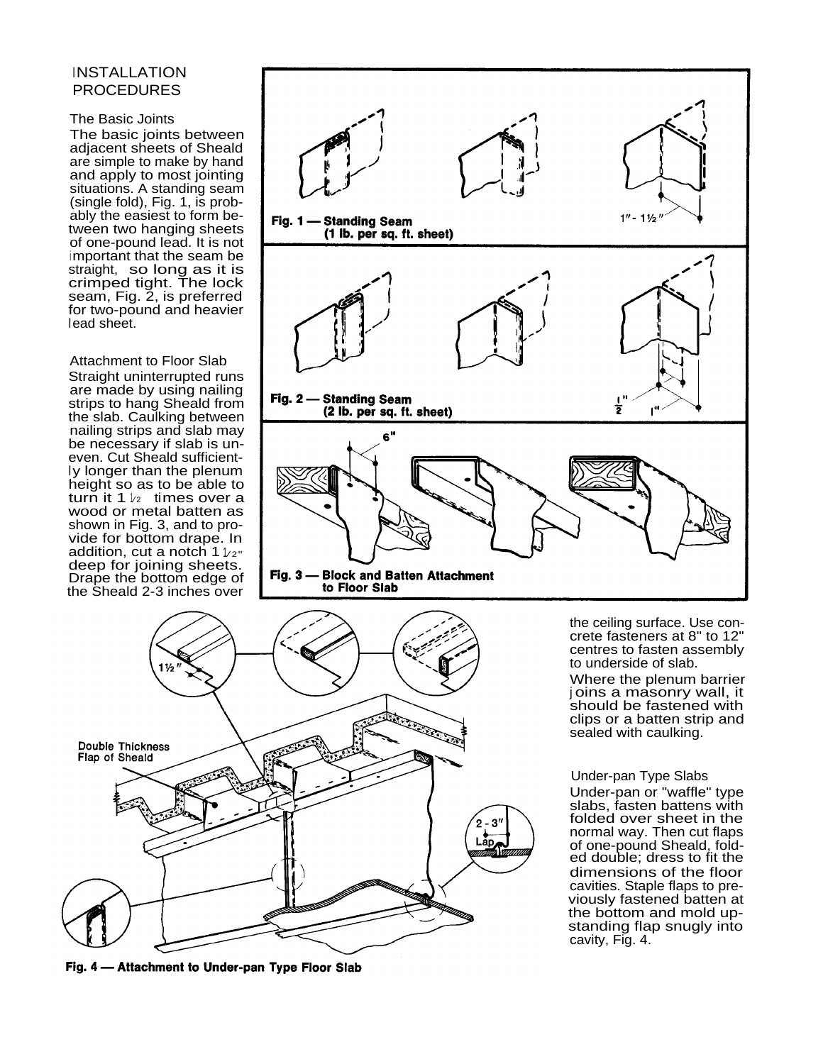### **INSTALLATION** PROCEDURES

#### The Basic Joints

The basic joints between adjacent sheets of Sheald are simple to make by hand and apply to most jointing situations. A standing seam (single fold), Fig. 1, is probably the easiest to form between two hanging sheets of one-pound lead. It is not important that the seam be straight, so long as it is crimped tight. The lock seam, Fig. 2, is preferred for two-pound and heavier lead sheet.

Attachment to Floor Slab Straight uninterrupted runs are made by using nailing strips to hang Sheald from the slab. Caulking between nailing strips and slab may be necessary if slab is uneven. Cut Sheald sufficient-<br>ly longer than the plenum height so as to be able to turn it 1  $\nu$ <sub>2</sub> times over a wood or metal batten as shown in Fig. 3, and to provide for bottom drape. In addition, cut a notch 1  $_{1/\mathit{2}^\mathit{+}}$ deep for joining sheets. Drape the bottom edge of the Sheald 2-3 inches over





Fig. 4 - Attachment to Under-pan Type Floor Slab

the ceiling surface. Use concrete fasteners at 8" to 12" centres to fasten assembly to underside of slab.

Where the plenum barrier <sup>j</sup> oins a masonry wall, it should be fastened with clips or a batten strip and sealed with caulking.

#### Under-pan Type Slabs

Under-pan or "waffle" type slabs, fasten battens with folded over sheet in the normal way. Then cut flaps of one-pound Sheald, folded double; dress to fit the dimensions of the floor cavities. Staple flaps to previously fastened batten at the bottom and mold upstanding flap snugly into cavity, Fig. 4.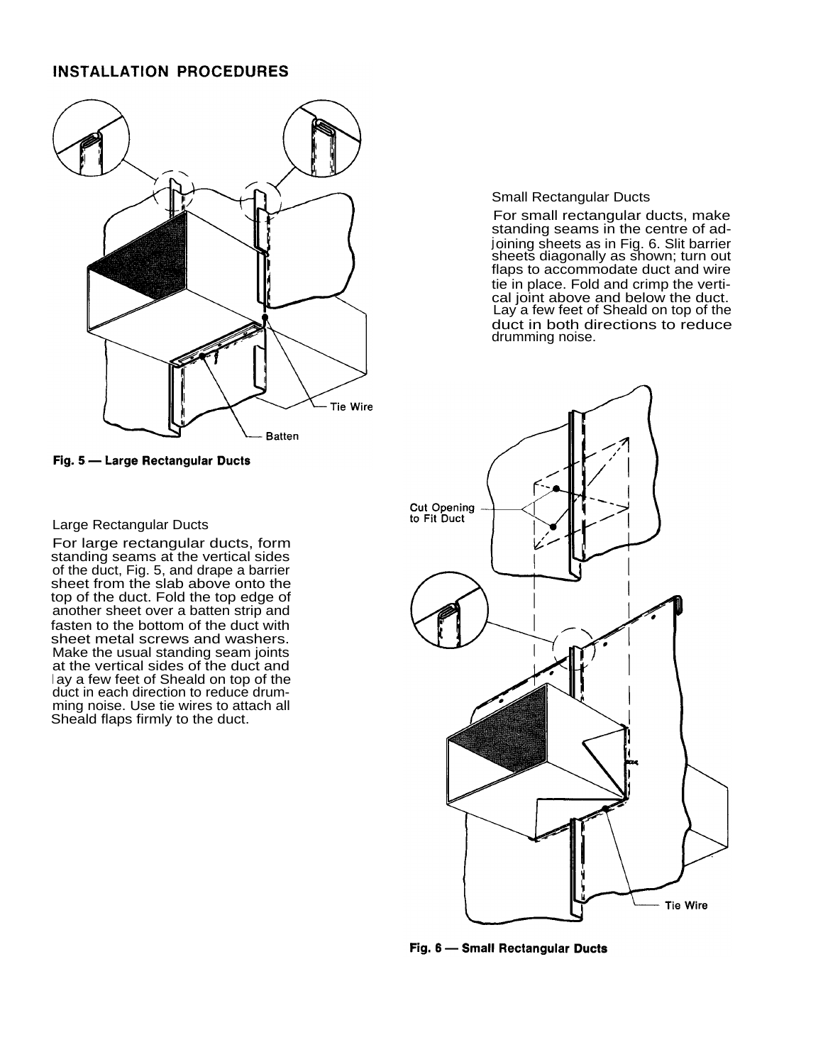#### **INSTALLATION PROCEDURES**



Fig. 5 - Large Rectangular Ducts

#### Small Rectangular Ducts

For small rectangular ducts, make standing seams in the centre of adjoining sheets as in Fig. 6. Slit barrier sheets diagonally as shown; turn out flaps to accommodate duct and wire tie in place. Fold and crimp the vertical joint above and below the duct. Lay a few feet of Sheald on top of the duct in both directions to reduce drumming noise.



Fig. 6 - Small Rectangular Ducts

#### Large Rectangular Ducts

For large rectangular ducts, form standing seams at the vertical sides of the duct, Fig. 5, and drape a barrier sheet from the slab above onto the top of the duct. Fold the top edge of another sheet over a batten strip and fasten to the bottom of the duct with sheet metal screws and washers. Make the usual standing seam joints at the vertical sides of the duct and <sup>l</sup> ay a few feet of Sheald on top of the duct in each direction to reduce drumming noise. Use tie wires to attach all Sheald flaps firmly to the duct.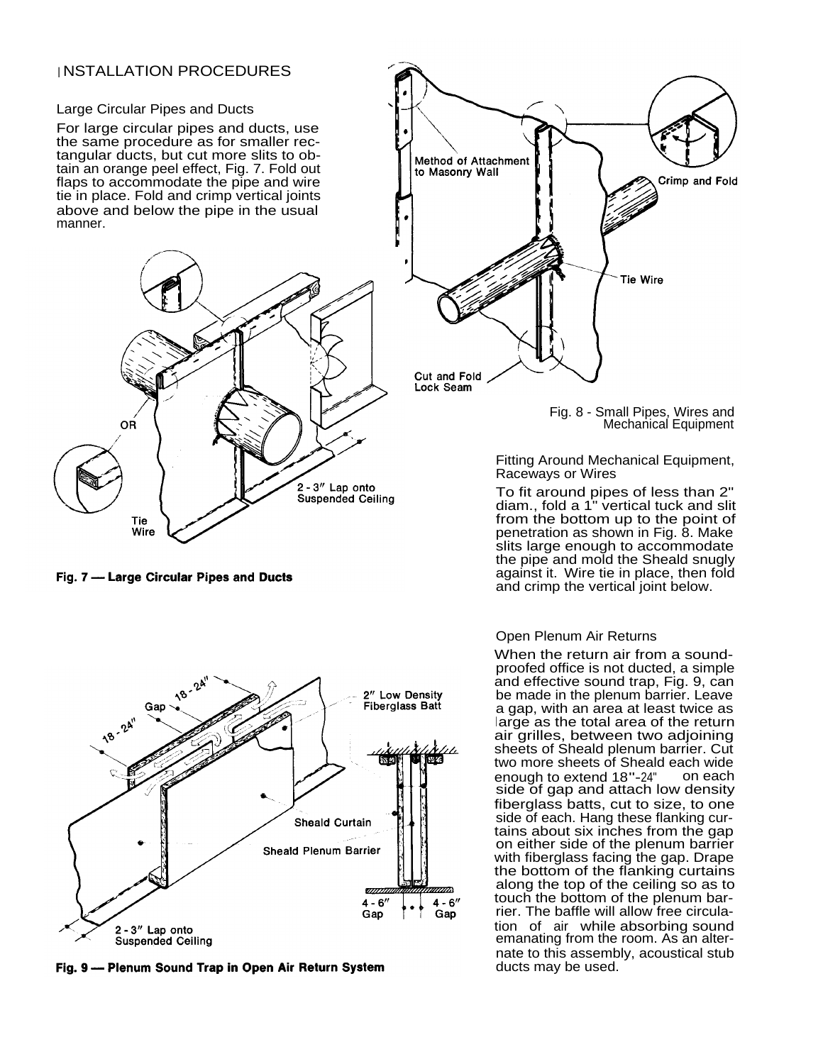### <sup>I</sup> NSTALLATION PROCEDURES

Large Circular Pipes and Ducts

For large circular pipes and ducts, use the same procedure as for smaller rectangular ducts, but cut more slits to obtain an orange peel effect, Fig. 7. Fold out flaps to accommodate the pipe and wire tie in place. Fold and crimp vertical joints above and below the pipe in the usual manner.



Fig. 7 - Large Circular Pipes and Ducts



Fig. 9 - Plenum Sound Trap in Open Air Return System

![](_page_3_Figure_7.jpeg)

Fig. 8 - Small Pipes, Wires and Mechanical Equipment

Fitting Around Mechanical Equipment, Raceways or Wires

To fit around pipes of less than 2" diam., fold a 1" vertical tuck and slit from the bottom up to the point of penetration as shown in Fig. 8. Make slits large enough to accommodate the pipe and mold the Sheald snugly against it. Wire tie in place, then fold and crimp the vertical joint below.

#### Open Plenum Air Returns

When the return air from a soundproofed office is not ducted, a simple and effective sound trap, Fig. 9, can be made in the plenum barrier. Leave a gap, with an area at least twice as large as the total area of the return air grilles, between two adjoining sheets of Sheald plenum barrier. Cut two more sheets of Sheald each wide enough to extend 18"-24" on each side of gap and attach low density fiberglass batts, cut to size, to one side of each. Hang these flanking curtains about six inches from the gap on either side of the plenum barrier with fiberglass facing the gap. Drape the bottom of the flanking curtains along the top of the ceiling so as to touch the bottom of the plenum barrier. The baffle will allow free circulation of air while absorbing sound emanating from the room. As an alternate to this assembly, acoustical stub ducts may be used.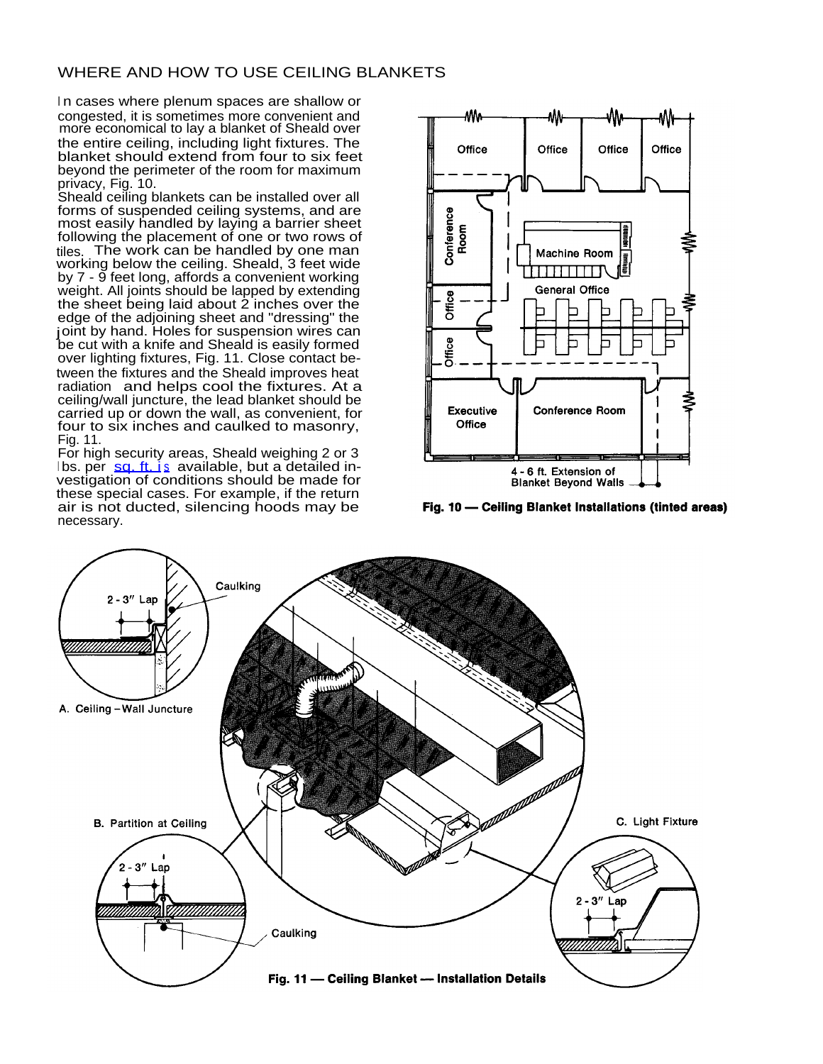# WHERE AND HOW TO USE CEILING BLANKETS

In cases where plenum spaces are shallow or congested, it is sometimes more convenient and more economical to lay a blanket of Sheald over the entire ceiling, including light fixtures. The blanket should extend from four to six feet beyond the perimeter of the room for maximum privacy, Fig. 10.

Sheald ceiling blankets can be installed over all forms of suspended ceiling systems, and are most easily handled by laying a barrier sheet following the placement of one or two rows of tiles. The work can be handled by one man working below the ceiling. Sheald, 3 feet wide by 7 - 9 feet long, affords a convenient working weight. All joints should be lapped by extending the sheet being laid about 2 inches over the edge of the adjoining sheet and "dressing" the joint by hand. Holes for suspension wires can be cut with a knife and Sheald is easily formed over lighting fixtures, Fig. 11. Close contact between the fixtures and the Sheald improves heat radiation and helps cool the fixtures. At a ceiling/wall juncture, the lead blanket should be carried up or down the wall, as convenient, for four to six inches and caulked to masonry, Fig. 11.

For high security areas, Sheald weighing 2 or 3  $\frac{1}{5}$  bs. per [sq. ft. i](http://sq.ft.is)[s](http://sq.ft.is) available, but a detailed investigation of conditions should be made for these special cases. For example, if the return air is not ducted, silencing hoods may be necessary.

![](_page_4_Figure_4.jpeg)

Fig. 10 - Ceiling Blanket Installations (tinted areas)

![](_page_4_Figure_6.jpeg)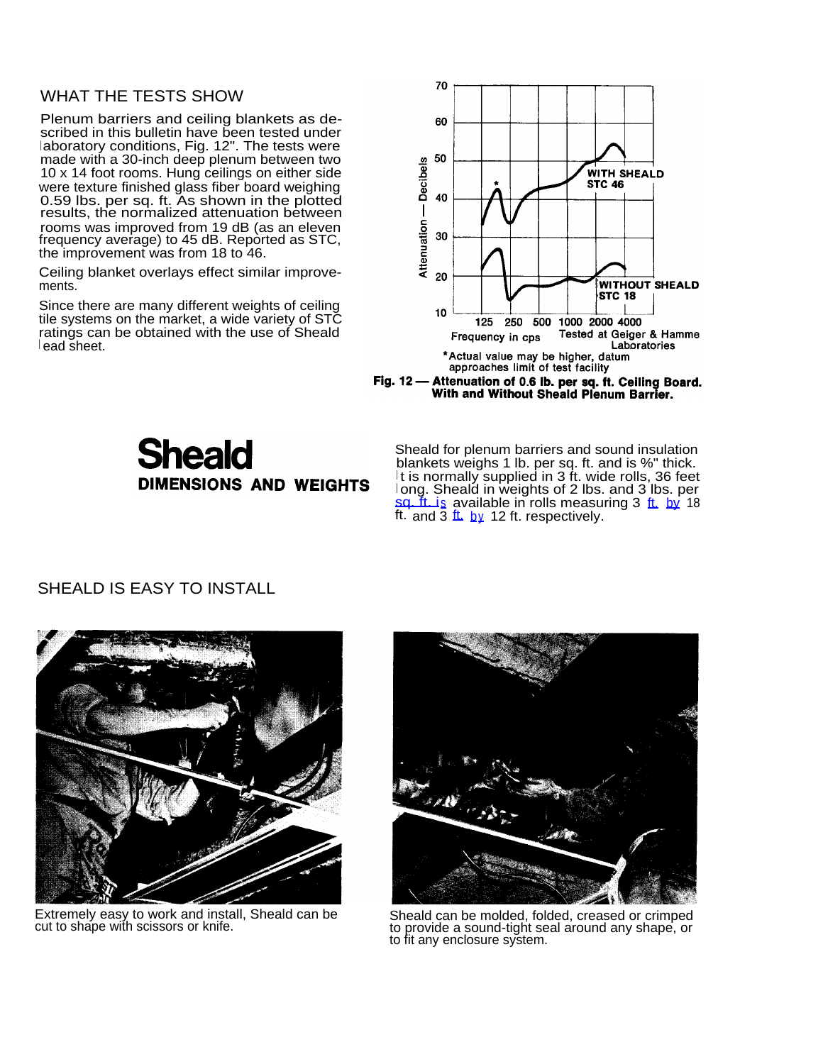### WHAT THE TESTS SHOW

Plenum barriers and ceiling blankets as described in this bulletin have been tested under laboratory conditions, Fig. 12". The tests were made with a 30-inch deep plenum between two 10 x 14 foot rooms. Hung ceilings on either side were texture finished glass fiber board weighing 0.59 lbs. per sq. ft. As shown in the plotted results, the normalized attenuation between rooms was improved from 19 dB (as an eleven frequency average) to 45 dB. Reported as STC, the improvement was from 18 to 46.

Ceiling blanket overlays effect similar improvements.

Since there are many different weights of ceiling tile systems on the market, a wide variety of STC ratings can be obtained with the use of Sheald <sup>l</sup> ead sheet.

![](_page_5_Figure_4.jpeg)

![](_page_5_Figure_5.jpeg)

# **Sheald DIMENSIONS AND WEIGHTS**

Sheald for plenum barriers and sound insulation blankets weighs 1 lb. per sq. ft. and is %" thick.  $\mathsf I$ t is normally supplied in 3 ft. wide rolls, 36 feet <sup>l</sup> ong. Sheald in weights of 2 lbs. and 3 lbs. per sq. It is available in rolls measuring 3 [ft.](http://ft.by) [by](http://ft.by) 18 [ft.](http://ft.by) and  $3 \text{ ft.}$  [by](http://ft.by) 12 ft. respectively.

# SHEALD IS EASY TO INSTALL

![](_page_5_Picture_9.jpeg)

Extremely easy to work and install, Sheald can be cut to shape with scissors or knife.

![](_page_5_Picture_11.jpeg)

Sheald can be molded, folded, creased or crimped to provide a sound-tight seal around any shape, or to fit any enclosure system.